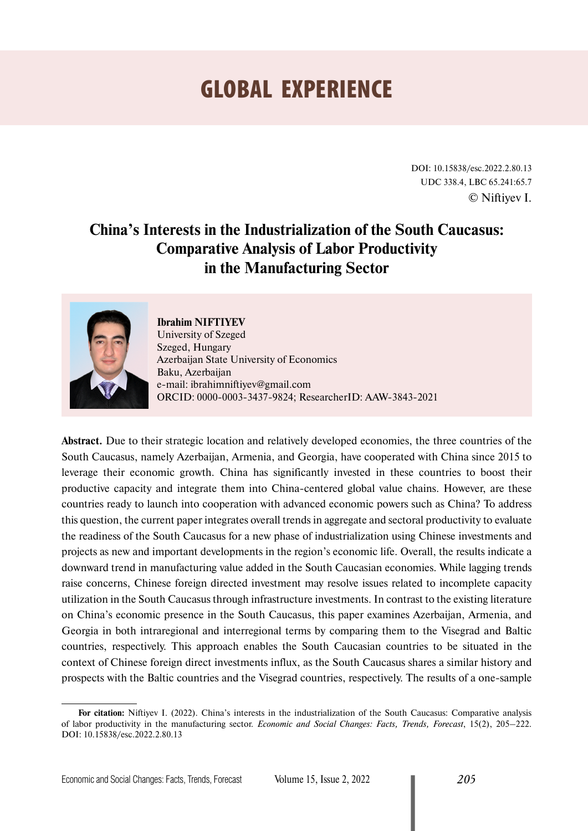# GLOBAL EXPERIENCE

DOI: 10.15838/esc.2022.2.80.13 UDC 338.4, LBC 65.241:65.7 © Niftiyev I.

# **China's Interests in the Industrialization of the South Caucasus: Comparative Analysis of Labor Productivity in the Manufacturing Sector**



# **Ibrahim NIFTIYEV**

University of Szeged Szeged, Hungary Azerbaijan State University of Economics Baku, Azerbaijan е-mail: ibrahimniftiyev@gmail.com ORCID: [0000-0003-3437-9824](https://orcid.org/0000-0003-3437-9824); ResearcherID: [AAW-3843-2021](https://publons.com/researcher/4629300/ibrahim-niftiyev/)

**Abstract.** Due to their strategic location and relatively developed economies, the three countries of the South Caucasus, namely Azerbaijan, Armenia, and Georgia, have cooperated with China since 2015 to leverage their economic growth. China has significantly invested in these countries to boost their productive capacity and integrate them into China-centered global value chains. However, are these countries ready to launch into cooperation with advanced economic powers such as China? To address this question, the current paper integrates overall trends in aggregate and sectoral productivity to evaluate the readiness of the South Caucasus for a new phase of industrialization using Chinese investments and projects as new and important developments in the region's economic life. Overall, the results indicate a downward trend in manufacturing value added in the South Caucasian economies. While lagging trends raise concerns, Chinese foreign directed investment may resolve issues related to incomplete capacity utilization in the South Caucasus through infrastructure investments. In contrast to the existing literature on China's economic presence in the South Caucasus, this paper examines Azerbaijan, Armenia, and Georgia in both intraregional and interregional terms by comparing them to the Visegrad and Baltic countries, respectively. This approach enables the South Caucasian countries to be situated in the context of Chinese foreign direct investments influx, as the South Caucasus shares a similar history and prospects with the Baltic countries and the Visegrad countries, respectively. The results of a one-sample

**For citation:** Niftiyev I. (2022). China's interests in the industrialization of the South Caucasus: Comparative analysis of labor productivity in the manufacturing sector. *Economic and Social Changes: Facts, Trends, Forecast*, 15(2), 205–222. DOI: 10.15838/esc.2022.2.80.13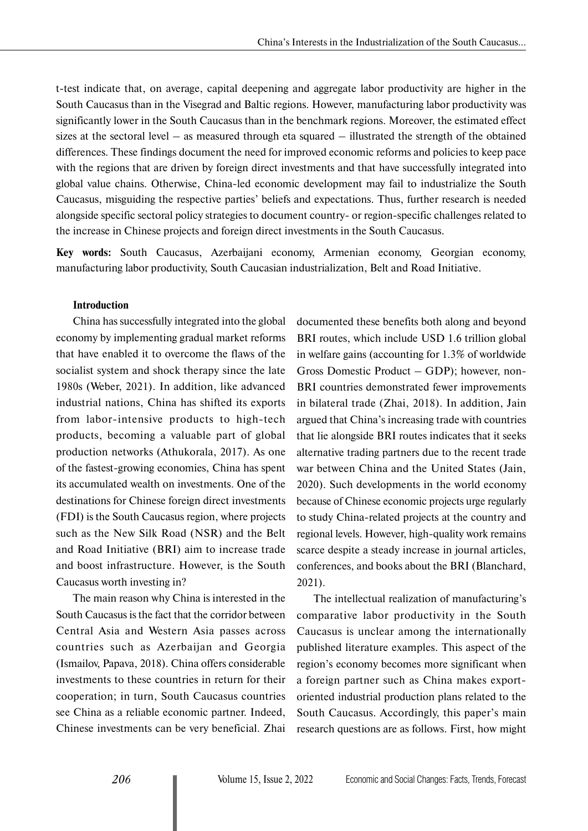t-test indicate that, on average, capital deepening and aggregate labor productivity are higher in the South Caucasus than in the Visegrad and Baltic regions. However, manufacturing labor productivity was significantly lower in the South Caucasus than in the benchmark regions. Moreover, the estimated effect sizes at the sectoral level – as measured through eta squared – illustrated the strength of the obtained differences. These findings document the need for improved economic reforms and policies to keep pace with the regions that are driven by foreign direct investments and that have successfully integrated into global value chains. Otherwise, China-led economic development may fail to industrialize the South Caucasus, misguiding the respective parties' beliefs and expectations. Thus, further research is needed alongside specific sectoral policy strategies to document country- or region-specific challenges related to the increase in Chinese projects and foreign direct investments in the South Caucasus.

**Key words:** South Caucasus, Azerbaijani economy, Armenian economy, Georgian economy, manufacturing labor productivity, South Caucasian industrialization, Belt and Road Initiative.

#### **Introduction**

China has successfully integrated into the global economy by implementing gradual market reforms that have enabled it to overcome the flaws of the socialist system and shock therapy since the late 1980s (Weber, 2021). In addition, like advanced industrial nations, China has shifted its exports from labor-intensive products to high-tech products, becoming a valuable part of global production networks (Athukorala, 2017). As one of the fastest-growing economies, China has spent its accumulated wealth on investments. One of the destinations for Chinese foreign direct investments (FDI) is the South Caucasus region, where projects such as the New Silk Road (NSR) and the Belt and Road Initiative (BRI) aim to increase trade and boost infrastructure. However, is the South Caucasus worth investing in?

The main reason why China is interested in the South Caucasus is the fact that the corridor between Central Asia and Western Asia passes across countries such as Azerbaijan and Georgia (Ismailov, Papava, 2018). China offers considerable investments to these countries in return for their cooperation; in turn, South Caucasus countries see China as a reliable economic partner. Indeed, Chinese investments can be very beneficial. Zhai

documented these benefits both along and beyond BRI routes, which include USD 1.6 trillion global in welfare gains (accounting for 1.3% of worldwide Gross Domestic Product – GDP); however, non-BRI countries demonstrated fewer improvements in bilateral trade (Zhai, 2018). In addition, Jain argued that China's increasing trade with countries that lie alongside BRI routes indicates that it seeks alternative trading partners due to the recent trade war between China and the United States (Jain, 2020). Such developments in the world economy because of Chinese economic projects urge regularly to study China-related projects at the country and regional levels. However, high-quality work remains scarce despite a steady increase in journal articles, conferences, and books about the BRI (Blanchard, 2021).

The intellectual realization of manufacturing's comparative labor productivity in the South Caucasus is unclear among the internationally published literature examples. This aspect of the region's economy becomes more significant when a foreign partner such as China makes exportoriented industrial production plans related to the South Caucasus. Accordingly, this paper's main research questions are as follows. First, how might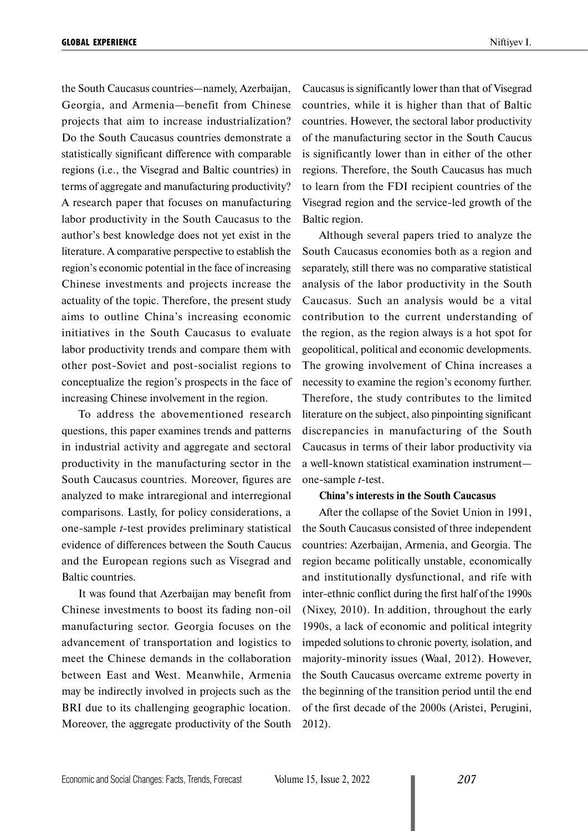the South Caucasus countries—namely, Azerbaijan, Georgia, and Armenia—benefit from Chinese projects that aim to increase industrialization? Do the South Caucasus countries demonstrate a statistically significant difference with comparable regions (i.e., the Visegrad and Baltic countries) in terms of aggregate and manufacturing productivity? A research paper that focuses on manufacturing labor productivity in the South Caucasus to the author's best knowledge does not yet exist in the literature. A comparative perspective to establish the region's economic potential in the face of increasing Chinese investments and projects increase the actuality of the topic. Therefore, the present study aims to outline China's increasing economic initiatives in the South Caucasus to evaluate labor productivity trends and compare them with other post-Soviet and post-socialist regions to conceptualize the region's prospects in the face of increasing Chinese involvement in the region.

To address the abovementioned research questions, this paper examines trends and patterns in industrial activity and aggregate and sectoral productivity in the manufacturing sector in the South Caucasus countries. Moreover, figures are analyzed to make intraregional and interregional comparisons. Lastly, for policy considerations, a one-sample *t*-test provides preliminary statistical evidence of differences between the South Caucus and the European regions such as Visegrad and Baltic countries.

It was found that Azerbaijan may benefit from Chinese investments to boost its fading non-oil manufacturing sector. Georgia focuses on the advancement of transportation and logistics to meet the Chinese demands in the collaboration between East and West. Meanwhile, Armenia may be indirectly involved in projects such as the BRI due to its challenging geographic location. Moreover, the aggregate productivity of the South Caucasus is significantly lower than that of Visegrad countries, while it is higher than that of Baltic countries. However, the sectoral labor productivity of the manufacturing sector in the South Caucus is significantly lower than in either of the other regions. Therefore, the South Caucasus has much to learn from the FDI recipient countries of the Visegrad region and the service-led growth of the Baltic region.

Although several papers tried to analyze the South Caucasus economies both as a region and separately, still there was no comparative statistical analysis of the labor productivity in the South Caucasus. Such an analysis would be a vital contribution to the current understanding of the region, as the region always is a hot spot for geopolitical, political and economic developments. The growing involvement of China increases a necessity to examine the region's economy further. Therefore, the study contributes to the limited literature on the subject, also pinpointing significant discrepancies in manufacturing of the South Caucasus in terms of their labor productivity via a well-known statistical examination instrument one-sample *t*-test.

#### **China's interests in the South Caucasus**

After the collapse of the Soviet Union in 1991, the South Caucasus consisted of three independent countries: Azerbaijan, Armenia, and Georgia. The region became politically unstable, economically and institutionally dysfunctional, and rife with inter-ethnic conflict during the first half of the 1990s (Nixey, 2010). In addition, throughout the early 1990s, a lack of economic and political integrity impeded solutions to chronic poverty, isolation, and majority-minority issues (Waal, 2012). However, the South Caucasus overcame extreme poverty in the beginning of the transition period until the end of the first decade of the 2000s (Aristei, Perugini, 2012).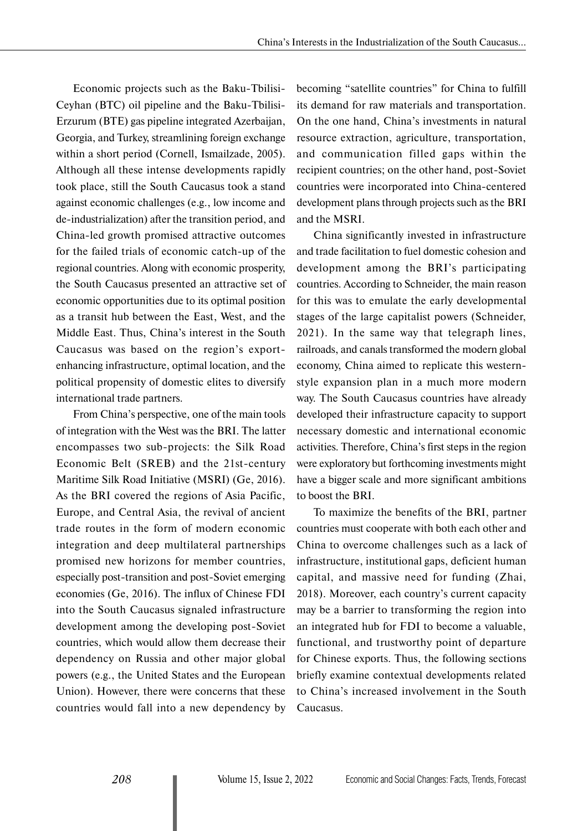Economic projects such as the Baku-Tbilisi-Ceyhan (BTC) oil pipeline and the Baku-Tbilisi-Erzurum (BTE) gas pipeline integrated Azerbaijan, Georgia, and Turkey, streamlining foreign exchange within a short period (Cornell, Ismailzade, 2005). Although all these intense developments rapidly took place, still the South Caucasus took a stand against economic challenges (e.g., low income and de-industrialization) after the transition period, and China-led growth promised attractive outcomes for the failed trials of economic catch-up of the regional countries. Along with economic prosperity, the South Caucasus presented an attractive set of economic opportunities due to its optimal position as a transit hub between the East, West, and the Middle East. Thus, China's interest in the South Caucasus was based on the region's exportenhancing infrastructure, optimal location, and the political propensity of domestic elites to diversify international trade partners.

From China's perspective, one of the main tools of integration with the West was the BRI. The latter encompasses two sub-projects: the Silk Road Economic Belt (SREB) and the 21st-century Maritime Silk Road Initiative (MSRI) (Ge, 2016). As the BRI covered the regions of Asia Pacific, Europe, and Central Asia, the revival of ancient trade routes in the form of modern economic integration and deep multilateral partnerships promised new horizons for member countries, especially post-transition and post-Soviet emerging economies (Ge, 2016). The influx of Chinese FDI into the South Caucasus signaled infrastructure development among the developing post-Soviet countries, which would allow them decrease their dependency on Russia and other major global powers (e.g., the United States and the European Union). However, there were concerns that these countries would fall into a new dependency by becoming "satellite countries" for China to fulfill its demand for raw materials and transportation. On the one hand, China's investments in natural resource extraction, agriculture, transportation, and communication filled gaps within the recipient countries; on the other hand, post-Soviet countries were incorporated into China-centered development plans through projects such as the BRI and the MSRI.

China significantly invested in infrastructure and trade facilitation to fuel domestic cohesion and development among the BRI's participating countries. According to Schneider, the main reason for this was to emulate the early developmental stages of the large capitalist powers (Schneider, 2021). In the same way that telegraph lines, railroads, and canals transformed the modern global economy, China aimed to replicate this westernstyle expansion plan in a much more modern way. The South Caucasus countries have already developed their infrastructure capacity to support necessary domestic and international economic activities. Therefore, China's first steps in the region were exploratory but forthcoming investments might have a bigger scale and more significant ambitions to boost the BRI.

To maximize the benefits of the BRI, partner countries must cooperate with both each other and China to overcome challenges such as a lack of infrastructure, institutional gaps, deficient human capital, and massive need for funding (Zhai, 2018). Moreover, each country's current capacity may be a barrier to transforming the region into an integrated hub for FDI to become a valuable, functional, and trustworthy point of departure for Chinese exports. Thus, the following sections briefly examine contextual developments related to China's increased involvement in the South Caucasus.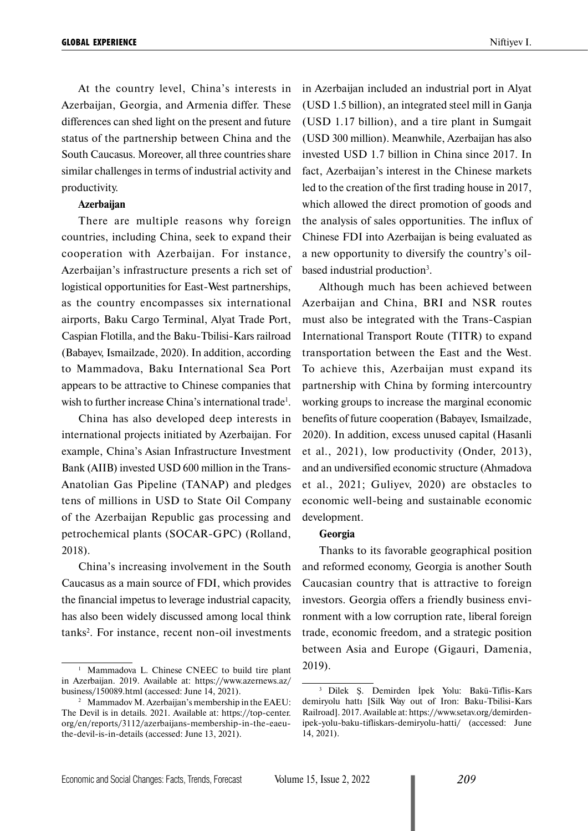At the country level, China's interests in Azerbaijan, Georgia, and Armenia differ. These differences can shed light on the present and future status of the partnership between China and the South Caucasus. Moreover, all three countries share similar challenges in terms of industrial activity and productivity.

## **Azerbaijan**

There are multiple reasons why foreign countries, including China, seek to expand their cooperation with Azerbaijan. For instance, Azerbaijan's infrastructure presents a rich set of logistical opportunities for East-West partnerships, as the country encompasses six international airports, Baku Cargo Terminal, Alyat Trade Port, Caspian Flotilla, and the Baku-Tbilisi-Kars railroad (Babayev, Ismailzade, 2020). In addition, according to Mammadova, Baku International Sea Port appears to be attractive to Chinese companies that wish to further increase China's international trade<sup>1</sup>.

China has also developed deep interests in international projects initiated by Azerbaijan. For example, China's Asian Infrastructure Investment Bank (AIIB) invested USD 600 million in the Trans-Anatolian Gas Pipeline (TANAP) and pledges tens of millions in USD to State Oil Company of the Azerbaijan Republic gas processing and petrochemical plants (SOCAR-GPC) (Rolland, 2018).

China's increasing involvement in the South Caucasus as a main source of FDI, which provides the financial impetus to leverage industrial capacity, has also been widely discussed among local think tanks<sup>2</sup>. For instance, recent non-oil investments in Azerbaijan included an industrial port in Alyat (USD 1.5 billion), an integrated steel mill in Ganja (USD 1.17 billion), and a tire plant in Sumgait (USD 300 million). Meanwhile, Azerbaijan has also invested USD 1.7 billion in China since 2017. In fact, Azerbaijan's interest in the Chinese markets led to the creation of the first trading house in 2017, which allowed the direct promotion of goods and the analysis of sales opportunities. The influx of Chinese FDI into Azerbaijan is being evaluated as a new opportunity to diversify the country's oilbased industrial production<sup>3</sup>.

Although much has been achieved between Azerbaijan and China, BRI and NSR routes must also be integrated with the Trans-Caspian International Transport Route (TITR) to expand transportation between the East and the West. To achieve this, Azerbaijan must expand its partnership with China by forming intercountry working groups to increase the marginal economic benefits of future cooperation (Babayev, Ismailzade, 2020). In addition, excess unused capital (Hasanli et al., 2021), low productivity (Onder, 2013), and an undiversified economic structure (Ahmadova et al., 2021; Guliyev, 2020) are obstacles to economic well-being and sustainable economic development.

#### **Georgia**

Thanks to its favorable geographical position and reformed economy, Georgia is another South Caucasian country that is attractive to foreign investors. Georgia offers a friendly business environment with a low corruption rate, liberal foreign trade, economic freedom, and a strategic position between Asia and Europe (Gigauri, Damenia, 2019).

Mammadova L. Chinese CNEEC to build tire plant in Azerbaijan. 2019. Available at: https://www.azernews.az/ business/150089.html (accessed: June 14, 2021).

<sup>&</sup>lt;sup>2</sup> Mammadov M. Azerbaijan's membership in the EAEU: The Devil is in details. 2021. Available at: https://top-center. org/en/reports/3112/azerbaijans-membership-in-the-eaeuthe-devil-is-in-details (accessed: June 13, 2021).

<sup>3</sup> Dilek Ş. Demirden İpek Yolu: Bakü-Tiflis-Kars demiryolu hattı [Silk Way out of Iron: Baku-Tbilisi-Kars Railroad]. 2017. Available at: https://www.setav.org/demirdenipek-yolu-baku-tifliskars-demiryolu-hatti/ (accessed: June 14, 2021).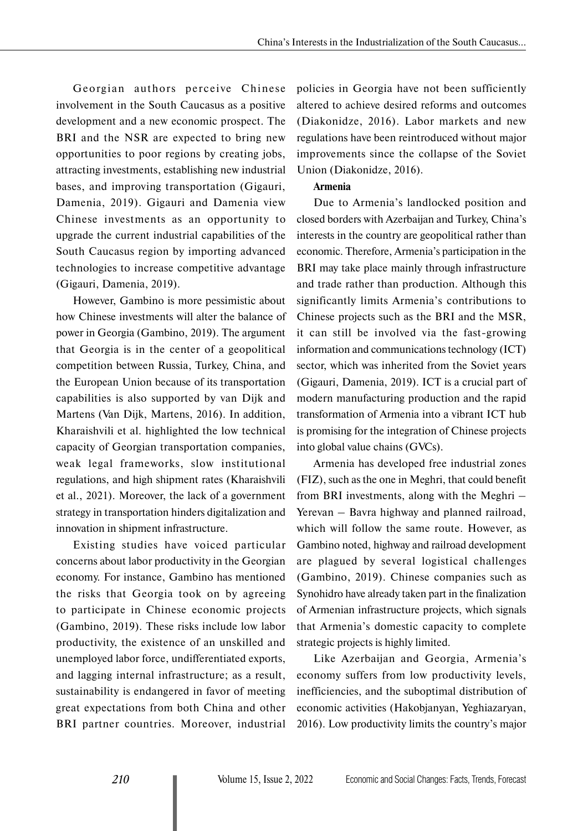Georgian authors perceive Chinese involvement in the South Caucasus as a positive development and a new economic prospect. The BRI and the NSR are expected to bring new opportunities to poor regions by creating jobs, attracting investments, establishing new industrial bases, and improving transportation (Gigauri, Damenia, 2019). Gigauri and Damenia view Chinese investments as an opportunity to upgrade the current industrial capabilities of the South Caucasus region by importing advanced technologies to increase competitive advantage (Gigauri, Damenia, 2019).

However, Gambino is more pessimistic about how Chinese investments will alter the balance of power in Georgia (Gambino, 2019). The argument that Georgia is in the center of a geopolitical competition between Russia, Turkey, China, and the European Union because of its transportation capabilities is also supported by van Dijk and Martens (Van Dijk, Martens, 2016). In addition, Kharaishvili et al. highlighted the low technical capacity of Georgian transportation companies, weak legal frameworks, slow institutional regulations, and high shipment rates (Kharaishvili et al., 2021). Moreover, the lack of a government strategy in transportation hinders digitalization and innovation in shipment infrastructure.

Existing studies have voiced particular concerns about labor productivity in the Georgian economy. For instance, Gambino has mentioned the risks that Georgia took on by agreeing to participate in Chinese economic projects (Gambino, 2019). These risks include low labor productivity, the existence of an unskilled and unemployed labor force, undifferentiated exports, and lagging internal infrastructure; as a result, sustainability is endangered in favor of meeting great expectations from both China and other BRI partner countries. Moreover, industrial

policies in Georgia have not been sufficiently altered to achieve desired reforms and outcomes (Diakonidze, 2016). Labor markets and new regulations have been reintroduced without major improvements since the collapse of the Soviet Union (Diakonidze, 2016).

# **Armenia**

Due to Armenia's landlocked position and closed borders with Azerbaijan and Turkey, China's interests in the country are geopolitical rather than economic. Therefore, Armenia's participation in the BRI may take place mainly through infrastructure and trade rather than production. Although this significantly limits Armenia's contributions to Chinese projects such as the BRI and the MSR, it can still be involved via the fast-growing information and communications technology (ICT) sector, which was inherited from the Soviet years (Gigauri, Damenia, 2019). ICT is a crucial part of modern manufacturing production and the rapid transformation of Armenia into a vibrant ICT hub is promising for the integration of Chinese projects into global value chains (GVCs).

Armenia has developed free industrial zones (FIZ), such as the one in Meghri, that could benefit from BRI investments, along with the Meghri – Yerevan – Bavra highway and planned railroad, which will follow the same route. However, as Gambino noted, highway and railroad development are plagued by several logistical challenges (Gambino, 2019). Chinese companies such as Synohidro have already taken part in the finalization of Armenian infrastructure projects, which signals that Armenia's domestic capacity to complete strategic projects is highly limited.

Like Azerbaijan and Georgia, Armenia's economy suffers from low productivity levels, inefficiencies, and the suboptimal distribution of economic activities (Hakobjanyan, Yeghiazaryan, 2016). Low productivity limits the country's major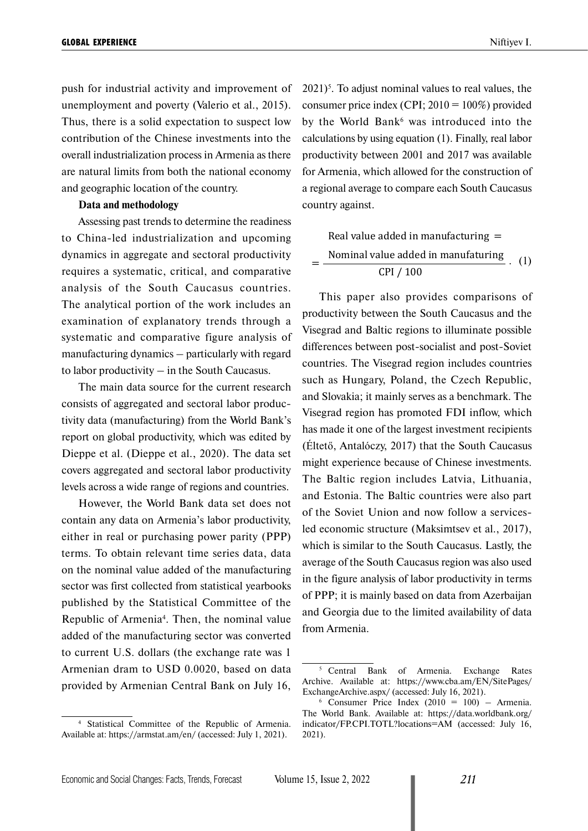push for industrial activity and improvement of unemployment and poverty (Valerio et al., 2015). Thus, there is a solid expectation to suspect low contribution of the Chinese investments into the overall industrialization process in Armenia as there are natural limits from both the national economy and geographic location of the country.

#### **Data and methodology**

Assessing past trends to determine the readiness to China-led industrialization and upcoming dynamics in aggregate and sectoral productivity requires a systematic, critical, and comparative analysis of the South Caucasus countries. The analytical portion of the work includes an examination of explanatory trends through a systematic and comparative figure analysis of manufacturing dynamics – particularly with regard to labor productivity – in the South Caucasus.

The main data source for the current research consists of aggregated and sectoral labor productivity data (manufacturing) from the World Bank's report on global productivity, which was edited by Dieppe et al. (Dieppe et al., 2020). The data set covers aggregated and sectoral labor productivity levels across a wide range of regions and countries.

However, the World Bank data set does not contain any data on Armenia's labor productivity, either in real or purchasing power parity (PPP) terms. To obtain relevant time series data, data on the nominal value added of the manufacturing sector was first collected from statistical yearbooks published by the Statistical Committee of the Republic of Armenia<sup>4</sup>. Then, the nominal value added of the manufacturing sector was converted to current U.S. dollars (the exchange rate was 1 Armenian dram to USD 0.0020, based on data provided by Armenian Central Bank on July 16,

<sup>4</sup> Statistical Committee of the Republic of Armenia. Available at: https://armstat.am/en/ (accessed: July 1, 2021).

 $2021$ <sup>5</sup>. To adjust nominal values to real values, the consumer price index (CPI;  $2010 = 100\%$ ) provided by the World Bank<sup>6</sup> was introduced into the calculations by using equation (1). Finally, real labor productivity between 2001 and 2017 was available for Armenia, which allowed for the construction of a regional average to compare each South Caucasus country against.

Real value added in manufacturing =  
\n
$$
= \frac{\text{Nominal value added in manufacturing}}{\text{CPI} / 100} \ . \tag{1}
$$

This paper also provides comparisons of productivity between the South Caucasus and the Visegrad and Baltic regions to illuminate possible differences between post-socialist and post-Soviet countries. The Visegrad region includes countries such as Hungary, Poland, the Czech Republic, and Slovakia; it mainly serves as a benchmark. The Visegrad region has promoted FDI inflow, which has made it one of the largest investment recipients (Éltető, Antalóczy, 2017) that the South Caucasus might experience because of Chinese investments. The Baltic region includes Latvia, Lithuania, and Estonia. The Baltic countries were also part of the Soviet Union and now follow a servicesled economic structure (Maksimtsev et al., 2017), which is similar to the South Caucasus. Lastly, the average of the South Caucasus region was also used in the figure analysis of labor productivity in terms of PPP; it is mainly based on data from Azerbaijan and Georgia due to the limited availability of data from Armenia.

=

<sup>5</sup> Central Bank of Armenia. Exchange Rates Archive. Available at: https://www.cba.am/EN/SitePages/ ExchangeArchive.aspx/ (accessed: July 16, 2021).

 $6$  Consumer Price Index (2010 = 100) – Armenia. The World Bank. Available at: https://data.worldbank.org/ indicator/FP.CPI.TOTL?locations=AM (accessed: July 16, 2021).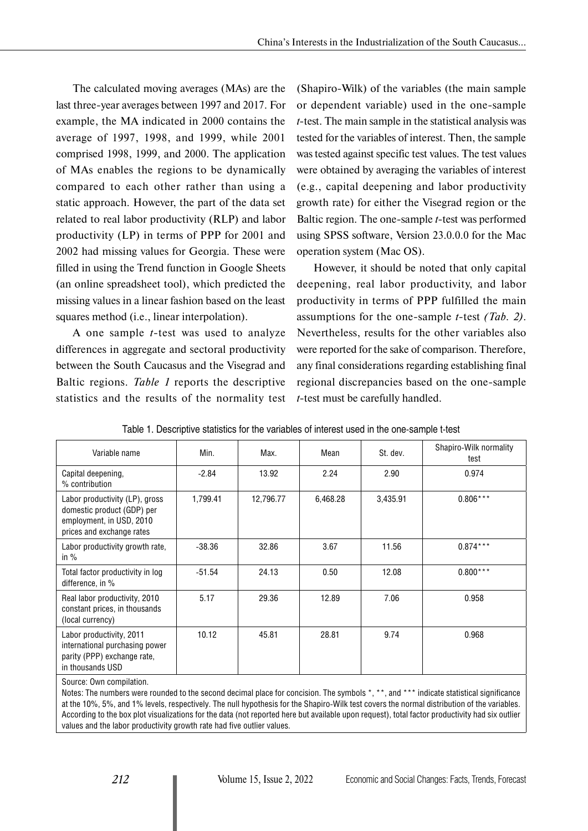The calculated moving averages (MAs) are the last three-year averages between 1997 and 2017. For example, the MA indicated in 2000 contains the average of 1997, 1998, and 1999, while 2001 comprised 1998, 1999, and 2000. The application of MAs enables the regions to be dynamically compared to each other rather than using a static approach. However, the part of the data set related to real labor productivity (RLP) and labor productivity (LP) in terms of PPP for 2001 and 2002 had missing values for Georgia. These were filled in using the Trend function in Google Sheets (an online spreadsheet tool), which predicted the missing values in a linear fashion based on the least squares method (i.e., linear interpolation).

A one sample *t*-test was used to analyze differences in aggregate and sectoral productivity between the South Caucasus and the Visegrad and Baltic regions. *Table 1* reports the descriptive statistics and the results of the normality test

(Shapiro-Wilk) of the variables (the main sample or dependent variable) used in the one-sample *t*-test. The main sample in the statistical analysis was tested for the variables of interest. Then, the sample was tested against specific test values. The test values were obtained by averaging the variables of interest (e.g., capital deepening and labor productivity growth rate) for either the Visegrad region or the Baltic region. The one-sample *t*-test was performed using SPSS software, Version 23.0.0.0 for the Mac operation system (Mac OS).

However, it should be noted that only capital deepening, real labor productivity, and labor productivity in terms of PPP fulfilled the main assumptions for the one-sample *t*-test *(Tab. 2)*. Nevertheless, results for the other variables also were reported for the sake of comparison. Therefore, any final considerations regarding establishing final regional discrepancies based on the one-sample *t*-test must be carefully handled.

| Variable name                                                                                                         | Min.     | Max.      | Mean     | St. dev. | Shapiro-Wilk normality<br>test |
|-----------------------------------------------------------------------------------------------------------------------|----------|-----------|----------|----------|--------------------------------|
| Capital deepening,<br>% contribution                                                                                  | $-2.84$  | 13.92     | 2.24     | 2.90     | 0.974                          |
| Labor productivity (LP), gross<br>domestic product (GDP) per<br>employment, in USD, 2010<br>prices and exchange rates | 1,799.41 | 12,796.77 | 6,468.28 | 3,435.91 | $0.806***$                     |
| Labor productivity growth rate,<br>in $%$                                                                             | $-38.36$ | 32.86     | 3.67     | 11.56    | $0.874***$                     |
| Total factor productivity in log<br>difference, in %                                                                  | $-51.54$ | 24.13     | 0.50     | 12.08    | $0.800***$                     |
| Real labor productivity, 2010<br>constant prices, in thousands<br>(local currency)                                    | 5.17     | 29.36     | 12.89    | 7.06     | 0.958                          |
| Labor productivity, 2011<br>international purchasing power<br>parity (PPP) exchange rate,<br>in thousands USD         | 10.12    | 45.81     | 28.81    | 9.74     | 0.968                          |

|  |  |  |  | Table 1. Descriptive statistics for the variables of interest used in the one-sample t-test |
|--|--|--|--|---------------------------------------------------------------------------------------------|
|--|--|--|--|---------------------------------------------------------------------------------------------|

Source: Own compilation.

Notes: The numbers were rounded to the second decimal place for concision. The symbols \*, \*\*, and \*\*\* indicate statistical significance at the 10%, 5%, and 1% levels, respectively. The null hypothesis for the Shapiro-Wilk test covers the normal distribution of the variables. According to the box plot visualizations for the data (not reported here but available upon request), total factor productivity had six outlier values and the labor productivity growth rate had five outlier values.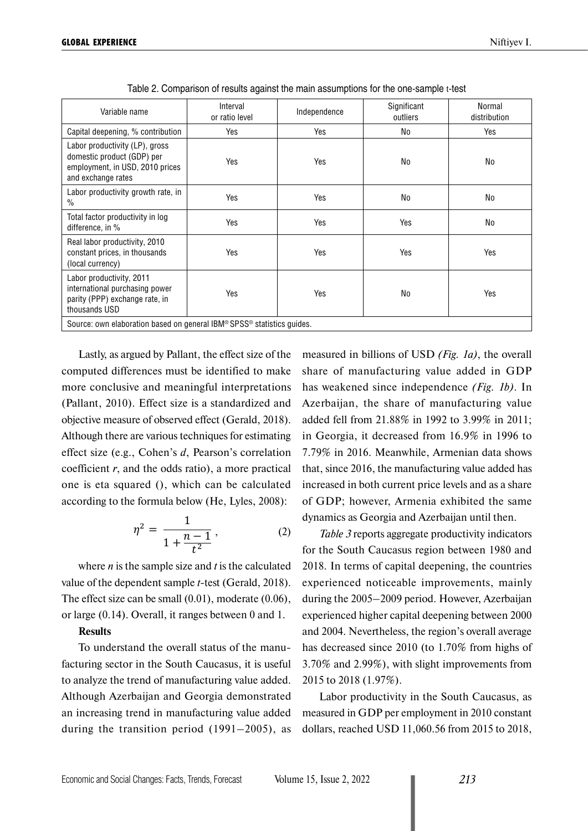| Variable name                                                                                                         | Interval<br>or ratio level | Independence | Significant<br>outliers | Normal<br>distribution |  |  |
|-----------------------------------------------------------------------------------------------------------------------|----------------------------|--------------|-------------------------|------------------------|--|--|
| Capital deepening, % contribution                                                                                     | Yes                        | Yes          | No                      | Yes                    |  |  |
| Labor productivity (LP), gross<br>domestic product (GDP) per<br>employment, in USD, 2010 prices<br>and exchange rates | Yes                        | Yes          | No                      | No                     |  |  |
| Labor productivity growth rate, in<br>$\%$                                                                            | Yes                        | Yes          | No                      | No                     |  |  |
| Total factor productivity in log<br>difference, in %                                                                  | Yes                        | Yes          | Yes                     | No                     |  |  |
| Real labor productivity, 2010<br>constant prices, in thousands<br>(local currency)                                    | Yes                        | Yes          | Yes                     | Yes                    |  |  |
| Labor productivity, 2011<br>international purchasing power<br>parity (PPP) exchange rate, in<br>thousands USD         | Yes                        | Yes          | No                      | Yes                    |  |  |
| Source: own elaboration based on general IBM® SPSS® statistics guides.                                                |                            |              |                         |                        |  |  |

Table 2. Comparison of results against the main assumptions for the one-sample t-test

Lastly, as argued by Pallant, the effect size of the computed differences must be identified to make more conclusive and meaningful interpretations (Pallant, 2010). Effect size is a standardized and objective measure of observed effect (Gerald, 2018). Although there are various techniques for estimating effect size (e.g., Cohen's *d*, Pearson's correlation coefficient *r*, and the odds ratio), a more practical one is eta squared (), which can be calculated according to the formula below (He, Lyles, 2008):

$$
\eta^2 = \frac{1}{1 + \frac{n-1}{t^2}},\tag{2}
$$

where *n* is the sample size and *t* is the calculated value of the dependent sample *t*-test (Gerald, 2018). The effect size can be small (0.01), moderate (0.06), or large (0.14). Overall, it ranges between 0 and 1.

## **Results**

To understand the overall status of the manufacturing sector in the South Caucasus, it is useful to analyze the trend of manufacturing value added. Although Azerbaijan and Georgia demonstrated an increasing trend in manufacturing value added during the transition period (1991–2005), as measured in billions of USD *(Fig. 1a)*, the overall share of manufacturing value added in GDP has weakened since independence *(Fig. 1b)*. In Azerbaijan, the share of manufacturing value added fell from 21.88% in 1992 to 3.99% in 2011; in Georgia, it decreased from 16.9% in 1996 to 7.79% in 2016. Meanwhile, Armenian data shows that, since 2016, the manufacturing value added has increased in both current price levels and as a share of GDP; however, Armenia exhibited the same dynamics as Georgia and Azerbaijan until then.

*Table 3* reports aggregate productivity indicators for the South Caucasus region between 1980 and 2018. In terms of capital deepening, the countries experienced noticeable improvements, mainly during the 2005–2009 period. However, Azerbaijan experienced higher capital deepening between 2000 and 2004. Nevertheless, the region's overall average has decreased since 2010 (to 1.70% from highs of 3.70% and 2.99%), with slight improvements from 2015 to 2018 (1.97%).

Labor productivity in the South Caucasus, as measured in GDP per employment in 2010 constant dollars, reached USD 11,060.56 from 2015 to 2018,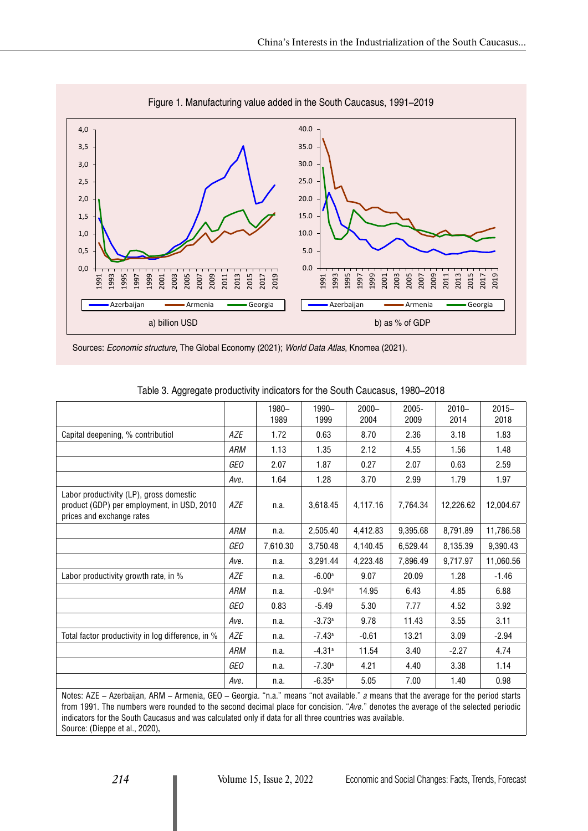

Figure 1. Manufacturing value added in the South Caucasus, 1991–2019

Sources: Economic structure, The Global Economy (2021); World Data Atlas, Knomea (2021).

|                                                                                                                    |            | 1980-<br>1989 | 1990-<br>1999        | $2000 -$<br>2004 | 2005-<br>2009 | $2010 -$<br>2014 | $2015 -$<br>2018 |
|--------------------------------------------------------------------------------------------------------------------|------------|---------------|----------------------|------------------|---------------|------------------|------------------|
| Capital deepening, % contributiol                                                                                  | AZE        | 1.72          | 0.63                 | 8.70             | 2.36          | 3.18             | 1.83             |
|                                                                                                                    | ARM        | 1.13          | 1.35                 | 2.12             | 4.55          | 1.56             | 1.48             |
|                                                                                                                    | GEO        | 2.07          | 1.87                 | 0.27             | 2.07          | 0.63             | 2.59             |
|                                                                                                                    | Ave.       | 1.64          | 1.28                 | 3.70             | 2.99          | 1.79             | 1.97             |
| Labor productivity (LP), gross domestic<br>product (GDP) per employment, in USD, 2010<br>prices and exchange rates | AZE        | n.a.          | 3,618.45             | 4,117.16         | 7,764.34      | 12,226.62        | 12,004.67        |
|                                                                                                                    | <b>ARM</b> | n.a.          | 2,505.40             | 4,412.83         | 9,395.68      | 8,791.89         | 11,786.58        |
|                                                                                                                    | <b>GEO</b> | 7,610.30      | 3,750.48             | 4,140.45         | 6,529.44      | 8,135.39         | 9,390.43         |
|                                                                                                                    | Ave.       | n.a.          | 3,291.44             | 4,223.48         | 7,896.49      | 9,717.97         | 11,060.56        |
| Labor productivity growth rate, in %                                                                               | <b>AZE</b> | n.a.          | $-6.00a$             | 9.07             | 20.09         | 1.28             | $-1.46$          |
|                                                                                                                    | ARM        | n.a.          | $-0.94$ <sup>a</sup> | 14.95            | 6.43          | 4.85             | 6.88             |
|                                                                                                                    | GEO        | 0.83          | $-5.49$              | 5.30             | 7.77          | 4.52             | 3.92             |
|                                                                                                                    | Ave.       | n.a.          | $-3.73a$             | 9.78             | 11.43         | 3.55             | 3.11             |
| Total factor productivity in log difference, in %                                                                  | AZE        | n.a.          | $-7.43$ <sup>a</sup> | $-0.61$          | 13.21         | 3.09             | $-2.94$          |
|                                                                                                                    | ARM        | n.a.          | $-4.31a$             | 11.54            | 3.40          | $-2.27$          | 4.74             |
|                                                                                                                    | GEO        | n.a.          | $-7.30a$             | 4.21             | 4.40          | 3.38             | 1.14             |
|                                                                                                                    | Ave.       | n.a.          | $-6.35a$             | 5.05             | 7.00          | 1.40             | 0.98             |

| Table 3. Aggregate productivity indicators for the South Caucasus, 1980–2018 |  |  |  |
|------------------------------------------------------------------------------|--|--|--|
|------------------------------------------------------------------------------|--|--|--|

Notes: AZE – Azerbaijan, ARM – Armenia, GEO – Georgia. "n.a." means "not available." *a* means that the average for the period starts from 1991. The numbers were rounded to the second decimal place for concision. "*Ave*." denotes the average of the selected periodic indicators for the South Caucasus and was calculated only if data for all three countries was available. Source: (Dieppe et al., 2020)**.**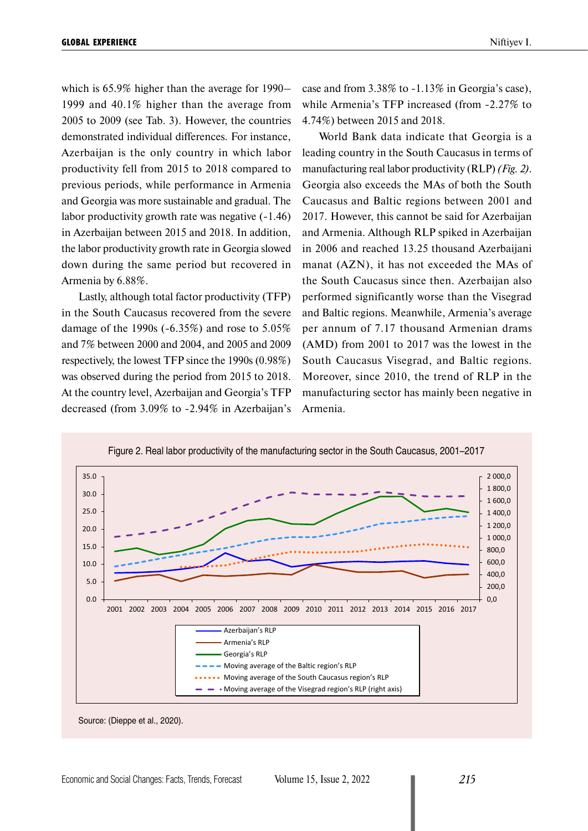which is 65.9% higher than the average for 1990– 1999 and 40.1% higher than the average from 2005 to 2009 (see Tab. 3). However, the countries demonstrated individual differences. For instance, Azerbaijan is the only country in which labor productivity fell from 2015 to 2018 compared to previous periods, while performance in Armenia and Georgia was more sustainable and gradual. The labor productivity growth rate was negative (-1.46) in Azerbaijan between 2015 and 2018. In addition, the labor productivity growth rate in Georgia slowed down during the same period but recovered in Armenia by 6.88%.

Lastly, although total factor productivity (TFP) in the South Caucasus recovered from the severe damage of the 1990s (-6.35%) and rose to 5.05% and 7% between 2000 and 2004, and 2005 and 2009 respectively, the lowest TFP since the 1990s (0.98%) was observed during the period from 2015 to 2018. At the country level, Azerbaijan and Georgia's TFP decreased (from 3.09% to -2.94% in Azerbaijan's case and from 3.38% to -1.13% in Georgia's case), while Armenia's TFP increased (from -2.27% to 4.74%) between 2015 and 2018.

World Bank data indicate that Georgia is a leading country in the South Caucasus in terms of manufacturing real labor productivity (RLP) *(Fig. 2)*. Georgia also exceeds the MAs of both the South Caucasus and Baltic regions between 2001 and 2017. However, this cannot be said for Azerbaijan and Armenia. Although RLP spiked in Azerbaijan in 2006 and reached 13.25 thousand Azerbaijani manat (AZN), it has not exceeded the MAs of the South Caucasus since then. Azerbaijan also performed significantly worse than the Visegrad and Baltic regions. Meanwhile, Armenia's average per annum of 7.17 thousand Armenian drams (AMD) from 2001 to 2017 was the lowest in the South Caucasus Visegrad, and Baltic regions. Moreover, since 2010, the trend of RLP in the manufacturing sector has mainly been negative in Armenia.



Source: (Dieppe et al., 2020).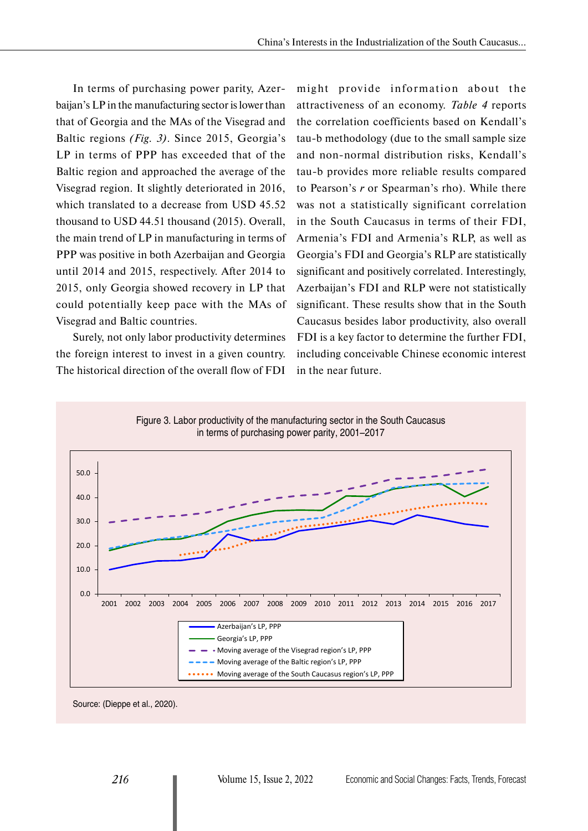In terms of purchasing power parity, Azerbaijan's LP in the manufacturing sector is lower than that of Georgia and the MAs of the Visegrad and Baltic regions *(Fig. 3)*. Since 2015, Georgia's LP in terms of PPP has exceeded that of the Baltic region and approached the average of the Visegrad region. It slightly deteriorated in 2016, which translated to a decrease from USD 45.52 thousand to USD 44.51 thousand (2015). Overall, the main trend of LP in manufacturing in terms of PPP was positive in both Azerbaijan and Georgia until 2014 and 2015, respectively. After 2014 to 2015, only Georgia showed recovery in LP that could potentially keep pace with the MAs of Visegrad and Baltic countries.

Surely, not only labor productivity determines the foreign interest to invest in a given country. The historical direction of the overall flow of FDI might provide information about the attractiveness of an economy. *Table 4* reports the correlation coefficients based on Kendall's tau-b methodology (due to the small sample size and non-normal distribution risks, Kendall's tau-b provides more reliable results compared to Pearson's *r* or Spearman's rho). While there was not a statistically significant correlation in the South Caucasus in terms of their FDI, Armenia's FDI and Armenia's RLP, as well as Georgia's FDI and Georgia's RLP are statistically significant and positively correlated. Interestingly, Azerbaijan's FDI and RLP were not statistically significant. These results show that in the South Caucasus besides labor productivity, also overall FDI is a key factor to determine the further FDI, including conceivable Chinese economic interest in the near future.



Source: (Dieppe et al., 2020).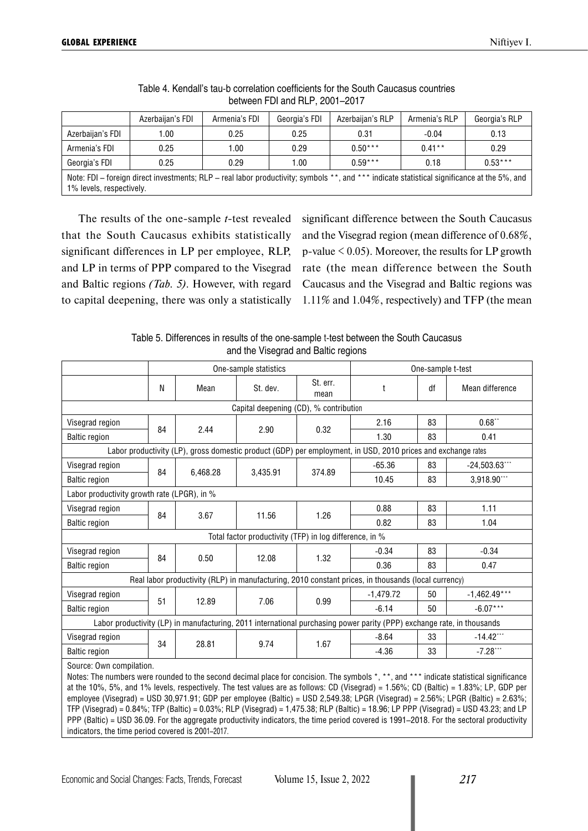|                                                                                                                                                                         | Azerbaijan's FDI | Armenia's FDI | Georgia's FDI | Azerbaijan's RLP | Armenia's RLP | Georgia's RLP |
|-------------------------------------------------------------------------------------------------------------------------------------------------------------------------|------------------|---------------|---------------|------------------|---------------|---------------|
| Azerbaijan's FDI                                                                                                                                                        | 1.00             | 0.25          | 0.25          | 0.31             | $-0.04$       | 0.13          |
| Armenia's FDI                                                                                                                                                           | 0.25             | 00.۱          | 0.29          | $0.50***$        | $0.41***$     | 0.29          |
| Georgia's FDI                                                                                                                                                           | 0.25             | 0.29          | 1.00          | $0.59***$        | 0.18          | $0.53***$     |
| Note: FDI – foreign direct investments; RLP – real labor productivity; symbols **, and *** indicate statistical significance at the 5%, and<br>1% levels, respectively. |                  |               |               |                  |               |               |

## Table 4. Kendall's tau-b correlation coefficients for the South Caucasus countries between FDI and RLP, 2001–2017

The results of the one-sample *t*-test revealed that the South Caucasus exhibits statistically significant differences in LP per employee, RLP, and LP in terms of PPP compared to the Visegrad and Baltic regions *(Tab. 5)*. However, with regard to capital deepening, there was only a statistically significant difference between the South Caucasus and the Visegrad region (mean difference of 0.68%, p-value  $< 0.05$ ). Moreover, the results for LP growth rate (the mean difference between the South Caucasus and the Visegrad and Baltic regions was 1.11% and 1.04%, respectively) and TFP (the mean

Table 5. Differences in results of the one-sample t-test between the South Caucasus and the Visegrad and Baltic regions

|                                                                                                                                                                     | One-sample statistics |          |          | One-sample t-test |                                                                                                              |    |                  |
|---------------------------------------------------------------------------------------------------------------------------------------------------------------------|-----------------------|----------|----------|-------------------|--------------------------------------------------------------------------------------------------------------|----|------------------|
|                                                                                                                                                                     | N                     | Mean     | St. dev. | St. err.<br>mean  | $\mathsf{t}$                                                                                                 | df | Mean difference  |
| Capital deepening (CD), % contribution                                                                                                                              |                       |          |          |                   |                                                                                                              |    |                  |
| Visegrad region                                                                                                                                                     | 84                    | 2.44     |          | 0.32              | 2.16                                                                                                         | 83 | $0.68$ **        |
| <b>Baltic region</b>                                                                                                                                                |                       |          | 2.90     |                   | 1.30                                                                                                         | 83 | 0.41             |
|                                                                                                                                                                     |                       |          |          |                   | Labor productivity (LP), gross domestic product (GDP) per employment, in USD, 2010 prices and exchange rates |    |                  |
| Visegrad region                                                                                                                                                     | 84                    | 6.468.28 | 3,435.91 | 374.89            | $-65.36$                                                                                                     | 83 | $-24,503.63$ *** |
| <b>Baltic region</b>                                                                                                                                                |                       |          |          |                   | 10.45                                                                                                        | 83 | 3,918.90***      |
| Labor productivity growth rate (LPGR), in %                                                                                                                         |                       |          |          |                   |                                                                                                              |    |                  |
| Visegrad region                                                                                                                                                     | 84                    | 3.67     | 11.56    | 1.26              | 0.88                                                                                                         | 83 | 1.11             |
| <b>Baltic region</b>                                                                                                                                                |                       |          |          |                   | 0.82                                                                                                         | 83 | 1.04             |
| Total factor productivity (TFP) in log difference, in %                                                                                                             |                       |          |          |                   |                                                                                                              |    |                  |
| Visegrad region                                                                                                                                                     | 84                    |          |          |                   | $-0.34$                                                                                                      | 83 | $-0.34$          |
| <b>Baltic region</b>                                                                                                                                                |                       | 0.50     | 12.08    | 1.32              | 0.36                                                                                                         | 83 | 0.47             |
|                                                                                                                                                                     |                       |          |          |                   | Real labor productivity (RLP) in manufacturing, 2010 constant prices, in thousands (local currency)          |    |                  |
| Visegrad region                                                                                                                                                     | 51                    | 12.89    | 7.06     | 0.99              | $-1,479.72$                                                                                                  | 50 | $-1,462.49***$   |
| <b>Baltic region</b>                                                                                                                                                |                       |          |          |                   | $-6.14$                                                                                                      | 50 | $-6.07***$       |
| Labor productivity (LP) in manufacturing, 2011 international purchasing power parity (PPP) exchange rate, in thousands                                              |                       |          |          |                   |                                                                                                              |    |                  |
| Visegrad region                                                                                                                                                     | 34                    | 28.81    | 9.74     | 1.67              | $-8.64$                                                                                                      | 33 | $-14.42$ ***     |
| <b>Baltic region</b>                                                                                                                                                |                       |          |          |                   | $-4.36$                                                                                                      | 33 | $-7.28***$       |
| Source: Own compilation.<br>Notes: The numbers were rounded to the second decimal place for concision. The symbols *, **, and *** indicate statistical significance |                       |          |          |                   |                                                                                                              |    |                  |

at the 10%, 5%, and 1% levels, respectively. The test values are as follows: CD (Visegrad) = 1.56%; CD (Baltic) = 1.83%; LP, GDP per employee (Visegrad) = USD 30,971.91; GDP per employee (Baltic) = USD 2,549.38; LPGR (Visegrad) = 2.56%; LPGR (Baltic) = 2.63%; TFP (Visegrad) = 0.84%; TFP (Baltic) = 0.03%; RLP (Visegrad) = 1,475.38; RLP (Baltic) = 18.96; LP PPP (Visegrad) = USD 43.23; and LP PPP (Baltic) = USD 36.09. For the aggregate productivity indicators, the time period covered is 1991–2018. For the sectoral productivity indicators, the time period covered is 2001–2017.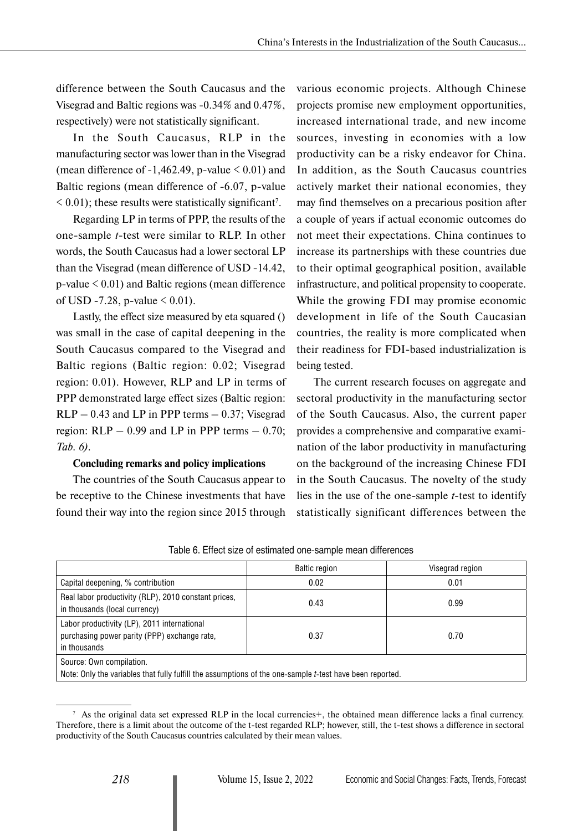difference between the South Caucasus and the Visegrad and Baltic regions was -0.34% and 0.47%, respectively) were not statistically significant.

In the South Caucasus, RLP in the manufacturing sector was lower than in the Visegrad (mean difference of  $-1,462.49$ , p-value  $\leq 0.01$ ) and Baltic regions (mean difference of -6.07, p-value  $<$  0.01); these results were statistically significant<sup>7</sup>.

Regarding LP in terms of PPP, the results of the one-sample *t*-test were similar to RLP. In other words, the South Caucasus had a lower sectoral LP than the Visegrad (mean difference of USD -14.42, p-value < 0.01) and Baltic regions (mean difference of USD -7.28, p-value  $\leq 0.01$ ).

Lastly, the effect size measured by eta squared () was small in the case of capital deepening in the South Caucasus compared to the Visegrad and Baltic regions (Baltic region: 0.02; Visegrad region: 0.01). However, RLP and LP in terms of PPP demonstrated large effect sizes (Baltic region:  $RLP - 0.43$  and  $LP$  in PPP terms  $- 0.37$ ; Visegrad region:  $RLP - 0.99$  and  $LP$  in PPP terms  $- 0.70$ ; *Tab. 6)*.

# **Concluding remarks and policy implications**

The countries of the South Caucasus appear to be receptive to the Chinese investments that have found their way into the region since 2015 through various economic projects. Although Chinese projects promise new employment opportunities, increased international trade, and new income sources, investing in economies with a low productivity can be a risky endeavor for China. In addition, as the South Caucasus countries actively market their national economies, they may find themselves on a precarious position after a couple of years if actual economic outcomes do not meet their expectations. China continues to increase its partnerships with these countries due to their optimal geographical position, available infrastructure, and political propensity to cooperate. While the growing FDI may promise economic development in life of the South Caucasian countries, the reality is more complicated when their readiness for FDI-based industrialization is being tested.

The current research focuses on aggregate and sectoral productivity in the manufacturing sector of the South Caucasus. Also, the current paper provides a comprehensive and comparative examination of the labor productivity in manufacturing on the background of the increasing Chinese FDI in the South Caucasus. The novelty of the study lies in the use of the one-sample *t*-test to identify statistically significant differences between the

|                                                                                                                                      | <b>Baltic region</b> | Visegrad region |  |  |  |  |
|--------------------------------------------------------------------------------------------------------------------------------------|----------------------|-----------------|--|--|--|--|
| Capital deepening, % contribution                                                                                                    | 0.02                 | 0.01            |  |  |  |  |
| Real labor productivity (RLP), 2010 constant prices,<br>in thousands (local currency)                                                | 0.43                 | 0.99            |  |  |  |  |
| Labor productivity (LP), 2011 international<br>purchasing power parity (PPP) exchange rate,<br>in thousands                          | 0.37                 | 0.70            |  |  |  |  |
| Source: Own compilation.<br>Note: Only the variables that fully fulfill the assumptions of the one-sample t-test have been reported. |                      |                 |  |  |  |  |

Table 6. Effect size of estimated one-sample mean differences

 $\frac{7}{1}$  As the original data set expressed RLP in the local currencies +, the obtained mean difference lacks a final currency. Therefore, there is a limit about the outcome of the t-test regarded RLP; however, still, the t-test shows a difference in sectoral productivity of the South Caucasus countries calculated by their mean values.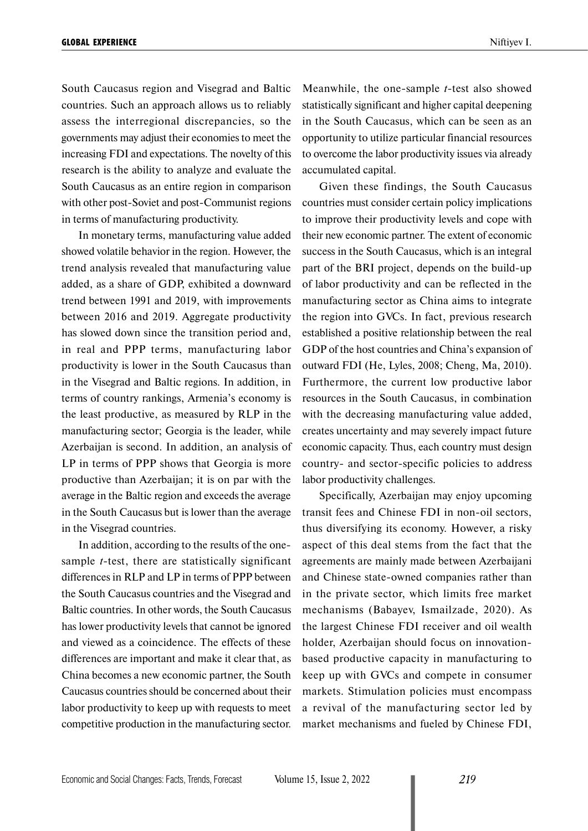South Caucasus region and Visegrad and Baltic countries. Such an approach allows us to reliably assess the interregional discrepancies, so the governments may adjust their economies to meet the increasing FDI and expectations. The novelty of this research is the ability to analyze and evaluate the South Caucasus as an entire region in comparison with other post-Soviet and post-Communist regions in terms of manufacturing productivity.

In monetary terms, manufacturing value added showed volatile behavior in the region. However, the trend analysis revealed that manufacturing value added, as a share of GDP, exhibited a downward trend between 1991 and 2019, with improvements between 2016 and 2019. Aggregate productivity has slowed down since the transition period and, in real and PPP terms, manufacturing labor productivity is lower in the South Caucasus than in the Visegrad and Baltic regions. In addition, in terms of country rankings, Armenia's economy is the least productive, as measured by RLP in the manufacturing sector; Georgia is the leader, while Azerbaijan is second. In addition, an analysis of LP in terms of PPP shows that Georgia is more productive than Azerbaijan; it is on par with the average in the Baltic region and exceeds the average in the South Caucasus but is lower than the average in the Visegrad countries.

In addition, according to the results of the onesample *t*-test, there are statistically significant differences in RLP and LP in terms of PPP between the South Caucasus countries and the Visegrad and Baltic countries. In other words, the South Caucasus has lower productivity levels that cannot be ignored and viewed as a coincidence. The effects of these differences are important and make it clear that, as China becomes a new economic partner, the South Caucasus countries should be concerned about their labor productivity to keep up with requests to meet competitive production in the manufacturing sector.

Meanwhile, the one-sample *t*-test also showed statistically significant and higher capital deepening in the South Caucasus, which can be seen as an opportunity to utilize particular financial resources to overcome the labor productivity issues via already accumulated capital.

Given these findings, the South Caucasus countries must consider certain policy implications to improve their productivity levels and cope with their new economic partner. The extent of economic success in the South Caucasus, which is an integral part of the BRI project, depends on the build-up of labor productivity and can be reflected in the manufacturing sector as China aims to integrate the region into GVCs. In fact, previous research established a positive relationship between the real GDP of the host countries and China's expansion of outward FDI (He, Lyles, 2008; Cheng, Ma, 2010). Furthermore, the current low productive labor resources in the South Caucasus, in combination with the decreasing manufacturing value added, creates uncertainty and may severely impact future economic capacity. Thus, each country must design country- and sector-specific policies to address labor productivity challenges.

Specifically, Azerbaijan may enjoy upcoming transit fees and Chinese FDI in non-oil sectors, thus diversifying its economy. However, a risky aspect of this deal stems from the fact that the agreements are mainly made between Azerbaijani and Chinese state-owned companies rather than in the private sector, which limits free market mechanisms (Babayev, Ismailzade, 2020). As the largest Chinese FDI receiver and oil wealth holder, Azerbaijan should focus on innovationbased productive capacity in manufacturing to keep up with GVCs and compete in consumer markets. Stimulation policies must encompass a revival of the manufacturing sector led by market mechanisms and fueled by Chinese FDI,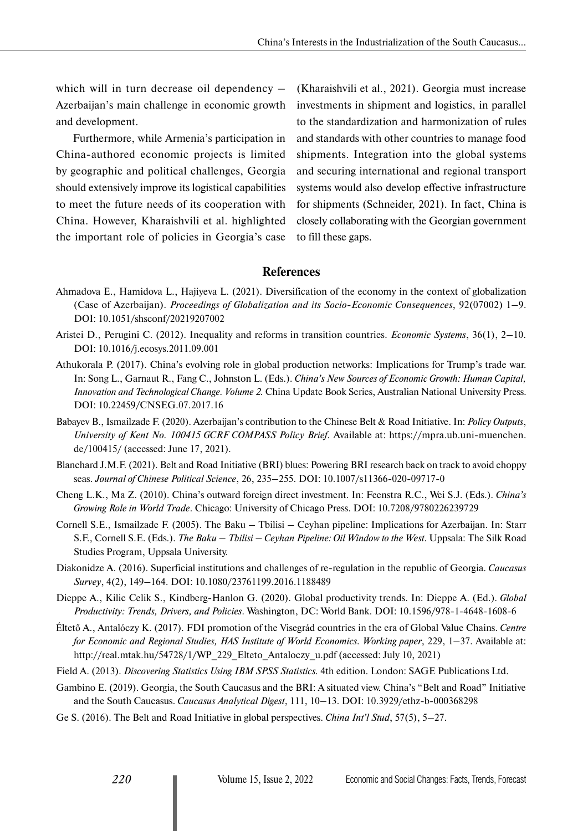which will in turn decrease oil dependency – Azerbaijan's main challenge in economic growth and development.

Furthermore, while Armenia's participation in China-authored economic projects is limited by geographic and political challenges, Georgia should extensively improve its logistical capabilities to meet the future needs of its cooperation with China. However, Kharaishvili et al. highlighted the important role of policies in Georgia's case (Kharaishvili et al., 2021). Georgia must increase investments in shipment and logistics, in parallel to the standardization and harmonization of rules and standards with other countries to manage food shipments. Integration into the global systems and securing international and regional transport systems would also develop effective infrastructure for shipments (Schneider, 2021). In fact, China is closely collaborating with the Georgian government to fill these gaps.

# **References**

- Ahmadova E., Hamidova L., Hajiyeva L. (2021). Diversification of the economy in the context of globalization (Case of Azerbaijan). *Proceedings of Globalization and its Socio-Economic Consequences*, 92(07002) 1–9. DOI: 10.1051/shsconf/20219207002
- Aristei D., Perugini C. (2012). Inequality and reforms in transition countries. *Economic Systems*, 36(1), 2–10. DOI: 10.1016/j.ecosys.2011.09.001
- Athukorala P. (2017). China's evolving role in global production networks: Implications for Trump's trade war. In: Song L., Garnaut R., Fang C., Johnston L. (Eds.). *China's New Sources of Economic Growth: Human Capital, Innovation and Technological Change. Volume 2.* China Update Book Series, Australian National University Press. DOI: 10.22459/CNSEG.07.2017.16
- Babayev B., Ismailzade F. (2020). Azerbaijan's contribution to the Chinese Belt & Road Initiative. In: *Policy Outputs*, *University of Kent No. 100415 GCRF COMPASS Policy Brief.* Available at: https://mpra.ub.uni-muenchen. de/100415/ (accessed: June 17, 2021).
- Blanchard J.M.F. (2021). Belt and Road Initiative (BRI) blues: Powering BRI research back on track to avoid choppy seas. *Journal of Chinese Political Science*, 26, 235–255. DOI: 10.1007/s11366-020-09717-0
- Cheng L.K., Ma Z. (2010). China's outward foreign direct investment. In: Feenstra R.C., Wei S.J. (Eds.). *China's Growing Role in World Trade*. Chicago: University of Chicago Press. DOI: 10.7208/9780226239729
- Cornell S.E., Ismailzade F. (2005). The Baku Tbilisi Ceyhan pipeline: Implications for Azerbaijan. In: Starr S.F., Cornell S.E. (Eds.). *The Baku – Tbilisi – Ceyhan Pipeline: Oil Window to the West*. Uppsala: The Silk Road Studies Program, Uppsala University.
- Diakonidze A. (2016). Superficial institutions and challenges of re-regulation in the republic of Georgia. *Caucasus Survey*, 4(2), 149–164. DOI: 10.1080/23761199.2016.1188489
- Dieppe A., Kilic Celik S., Kindberg-Hanlon G. (2020). Global productivity trends. In: Dieppe A. (Ed.). *Global Productivity: Trends, Drivers, and Policies*. Washington, DC: World Bank. DOI: 10.1596/978-1-4648-1608-6
- Éltető A., Antalóczy K. (2017). FDI promotion of the Visegrád countries in the era of Global Value Chains. *Centre for Economic and Regional Studies, HAS Institute of World Economics. Working paper*, 229, 1–37. Available at: http://real.mtak.hu/54728/1/WP\_229\_Elteto\_Antaloczy\_u.pdf (accessed: July 10, 2021)
- Field A. (2013). *Discovering Statistics Using IBM SPSS Statistics.* 4th edition. London: SAGE Publications Ltd.
- Gambino E. (2019). Georgia, the South Caucasus and the BRI: A situated view. China's "Belt and Road" Initiative and the South Caucasus. *Caucasus Analytical Digest*, 111, 10–13. DOI: 10.3929/ethz-b-000368298
- Ge S. (2016). The Belt and Road Initiative in global perspectives. *China Int'l Stud*, 57(5), 5–27.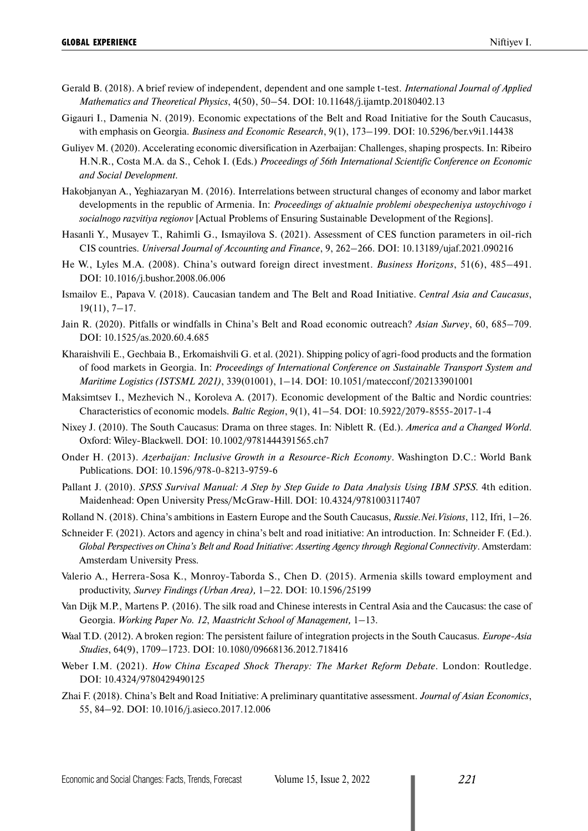- Gerald B. (2018). A brief review of independent, dependent and one sample t-test. *International Journal of Applied Mathematics and Theoretical Physics*, 4(50), 50–54. DOI: 10.11648/j.ijamtp.20180402.13
- Gigauri I., Damenia N. (2019). Economic expectations of the Belt and Road Initiative for the South Caucasus, with emphasis on Georgia. *Business and Economic Research*, 9(1), 173–199. DOI: 10.5296/ber.v9i1.14438
- Guliyev M. (2020). Accelerating economic diversification in Azerbaijan: Challenges, shaping prospects. In: Ribeiro H.N.R., Costa M.A. da S., Cehok I. (Eds.) *Proceedings of 56th International Scientific Conference on Economic and Social Development*.
- Hakobjanyan A., Yeghiazaryan M. (2016). Interrelations between structural changes of economy and labor market developments in the republic of Armenia. In: *Proceedings of aktualnie problemi obespecheniya ustoychivogo i socialnogo razvitiya regionov* [Actual Problems of Ensuring Sustainable Development of the Regions].
- Hasanli Y., Musayev T., Rahimli G., Ismayilova S. (2021). Assessment of CES function parameters in oil-rich CIS countries. *Universal Journal of Accounting and Finance*, 9, 262–266. DOI: 10.13189/ujaf.2021.090216
- He W., Lyles M.A. (2008). China's outward foreign direct investment. *Business Horizons*, 51(6), 485–491. DOI: 10.1016/j.bushor.2008.06.006
- Ismailov E., Papava V. (2018). Caucasian tandem and The Belt and Road Initiative. *Central Asia and Caucasus*, 19(11), 7–17.
- Jain R. (2020). Pitfalls or windfalls in China's Belt and Road economic outreach? *Asian Survey*, 60, 685–709. DOI: 10.1525/as.2020.60.4.685
- Kharaishvili E., Gechbaia B., Erkomaishvili G. et al. (2021). Shipping policy of agri-food products and the formation of food markets in Georgia. In: *Proceedings of International Conference on Sustainable Transport System and Maritime Logistics (ISTSML 2021)*, 339(01001), 1–14. DOI: 10.1051/matecconf/202133901001
- Maksimtsev I., Mezhevich N., Koroleva A. (2017). Economic development of the Baltic and Nordic countries: Characteristics of economic models. *Baltic Region*, 9(1), 41–54. DOI: 10.5922/2079-8555-2017-1-4
- Nixey J. (2010). The South Caucasus: Drama on three stages. In: Niblett R. (Ed.). *America and a Changed World*. Oxford: Wiley-Blackwell. DOI: 10.1002/9781444391565.ch7
- Onder H. (2013). *Azerbaijan: Inclusive Growth in a Resource-Rich Economy*. Washington D.C.: World Bank Publications. DOI: 10.1596/978-0-8213-9759-6
- Pallant J. (2010). *SPSS Survival Manual: A Step by Step Guide to Data Analysis Using IBM SPSS*. 4th edition. Maidenhead: Open University Press/McGraw-Hill. DOI: 10.4324/9781003117407
- Rolland N. (2018). China's ambitions in Eastern Europe and the South Caucasus, *Russie.Nei.Visions*, 112, Ifri, 1–26.
- Schneider F. (2021). Actors and agency in china's belt and road initiative: An introduction. In: Schneider F. (Ed.). *Global Perspectives on China's Belt and Road Initiative*: *Asserting Agency through Regional Connectivity*. Amsterdam: Amsterdam University Press.
- Valerio A., Herrera-Sosa K., Monroy-Taborda S., Chen D. (2015). Armenia skills toward employment and productivity, *Survey Findings (Urban Area),* 1–22. DOI: 10.1596/25199
- Van Dijk M.P., Martens P*.* (2016). The silk road and Chinese interests in Central Asia and the Caucasus: the case of Georgia. *Working Paper No. 12*, *Maastricht School of Management,* 1–13.
- Waal T.D. (2012). A broken region: The persistent failure of integration projects in the South Caucasus. *Europe-Asia Studies*, 64(9), 1709–1723. DOI: 10.1080/09668136.2012.718416
- Weber I.M. (2021). *How China Escaped Shock Therapy: The Market Reform Debate*. London: Routledge. DOI: 10.4324/9780429490125
- Zhai F. (2018). China's Belt and Road Initiative: A preliminary quantitative assessment. *Journal of Asian Economics*, 55, 84–92. DOI: 10.1016/j.asieco.2017.12.006